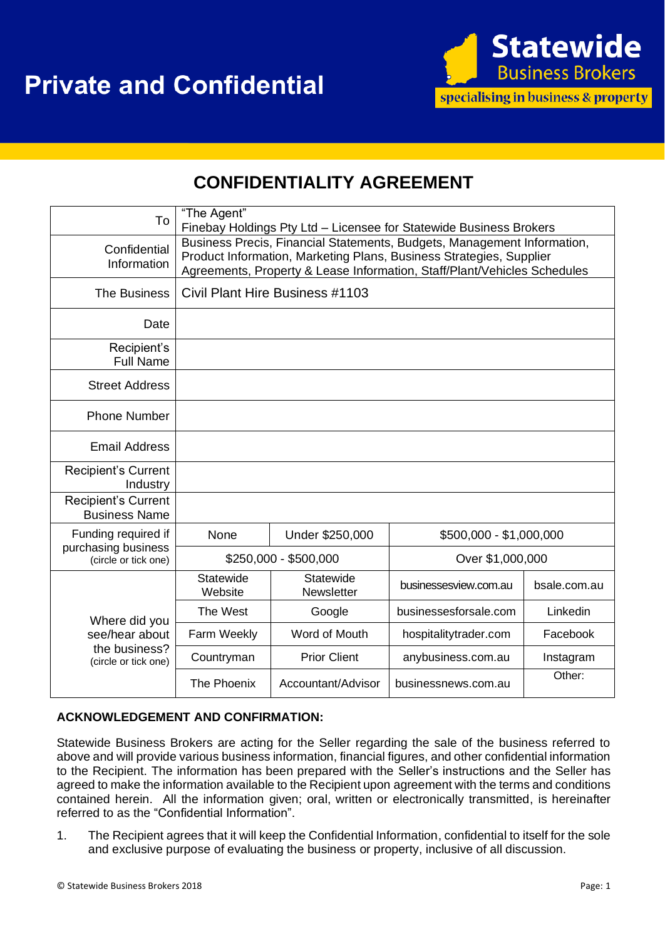

## **CONFIDENTIALITY AGREEMENT**

| To                                                                       | "The Agent"<br>Finebay Holdings Pty Ltd - Licensee for Statewide Business Brokers                                                                                                                                          |                         |                         |              |
|--------------------------------------------------------------------------|----------------------------------------------------------------------------------------------------------------------------------------------------------------------------------------------------------------------------|-------------------------|-------------------------|--------------|
| Confidential<br>Information                                              | Business Precis, Financial Statements, Budgets, Management Information,<br>Product Information, Marketing Plans, Business Strategies, Supplier<br>Agreements, Property & Lease Information, Staff/Plant/Vehicles Schedules |                         |                         |              |
| The Business                                                             | Civil Plant Hire Business #1103                                                                                                                                                                                            |                         |                         |              |
| Date                                                                     |                                                                                                                                                                                                                            |                         |                         |              |
| Recipient's<br><b>Full Name</b>                                          |                                                                                                                                                                                                                            |                         |                         |              |
| <b>Street Address</b>                                                    |                                                                                                                                                                                                                            |                         |                         |              |
| <b>Phone Number</b>                                                      |                                                                                                                                                                                                                            |                         |                         |              |
| Email Address                                                            |                                                                                                                                                                                                                            |                         |                         |              |
| <b>Recipient's Current</b><br>Industry                                   |                                                                                                                                                                                                                            |                         |                         |              |
| <b>Recipient's Current</b><br><b>Business Name</b>                       |                                                                                                                                                                                                                            |                         |                         |              |
| Funding required if<br>purchasing business<br>(circle or tick one)       | None                                                                                                                                                                                                                       | Under \$250,000         | \$500,000 - \$1,000,000 |              |
|                                                                          | \$250,000 - \$500,000                                                                                                                                                                                                      |                         | Over \$1,000,000        |              |
| Where did you<br>see/hear about<br>the business?<br>(circle or tick one) | Statewide<br>Website                                                                                                                                                                                                       | Statewide<br>Newsletter | businessesview.com.au   | bsale.com.au |
|                                                                          | The West                                                                                                                                                                                                                   | Google                  | businessesforsale.com   | Linkedin     |
|                                                                          | Farm Weekly                                                                                                                                                                                                                | Word of Mouth           | hospitalitytrader.com   | Facebook     |
|                                                                          | Countryman                                                                                                                                                                                                                 | <b>Prior Client</b>     | anybusiness.com.au      | Instagram    |
|                                                                          | The Phoenix                                                                                                                                                                                                                | Accountant/Advisor      | businessnews.com.au     | Other:       |

## **ACKNOWLEDGEMENT AND CONFIRMATION:**

Statewide Business Brokers are acting for the Seller regarding the sale of the business referred to above and will provide various business information, financial figures, and other confidential information to the Recipient. The information has been prepared with the Seller's instructions and the Seller has agreed to make the information available to the Recipient upon agreement with the terms and conditions contained herein. All the information given; oral, written or electronically transmitted, is hereinafter referred to as the "Confidential Information".

1. The Recipient agrees that it will keep the Confidential Information, confidential to itself for the sole and exclusive purpose of evaluating the business or property, inclusive of all discussion.